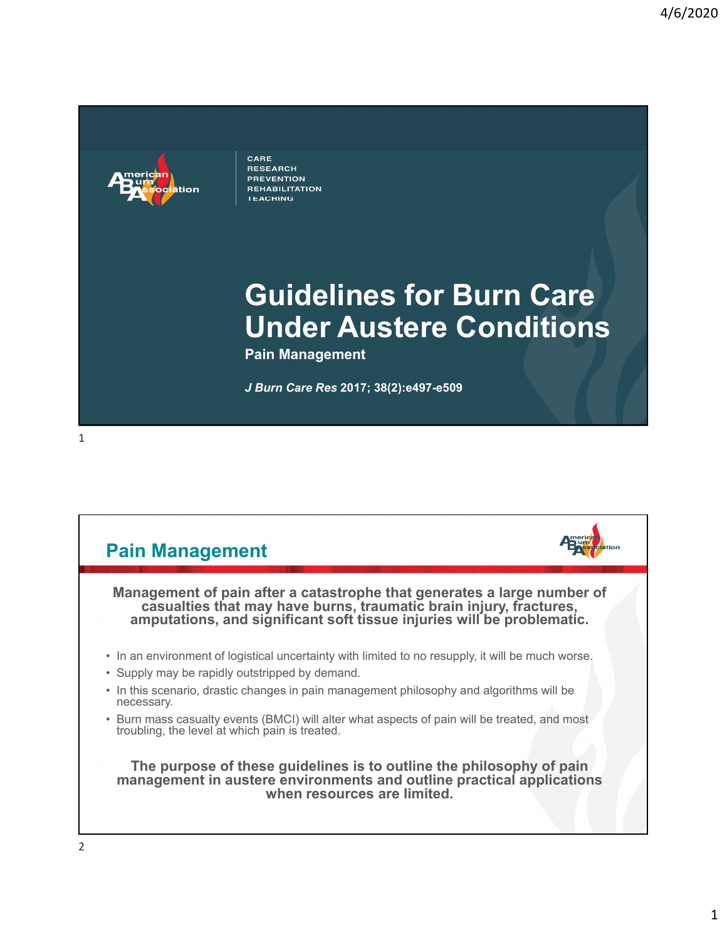

CARE **RESEARCH PREVENTION REHABILITATION TEACHING** 

## **Guidelines for Burn Care Under Austere Conditions**

**Pain Management**

*J Burn Care Res* **2017; 38(2):e497-e509**

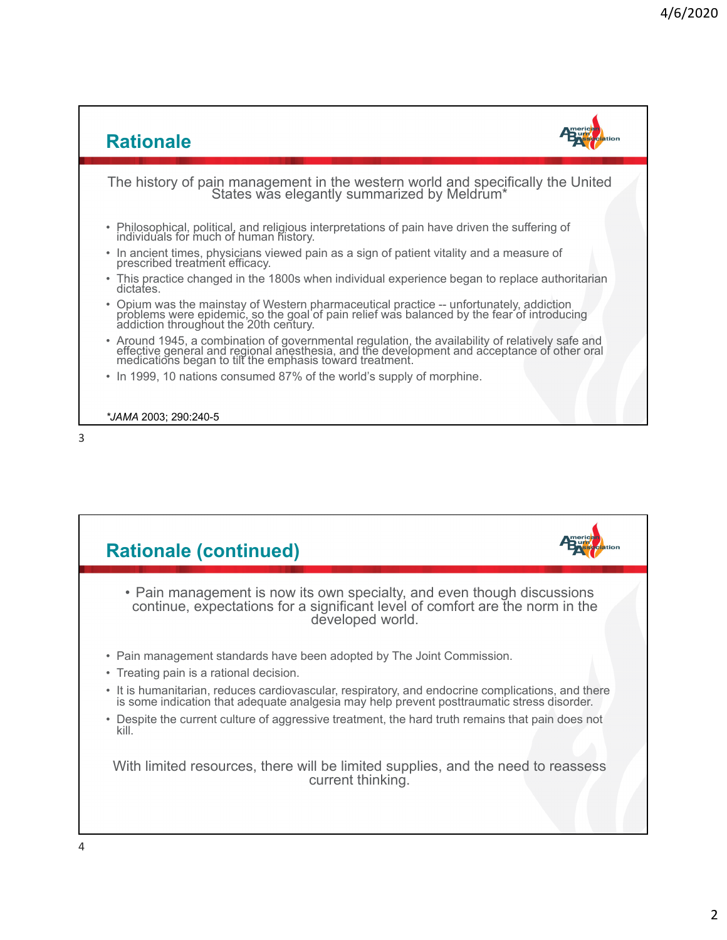



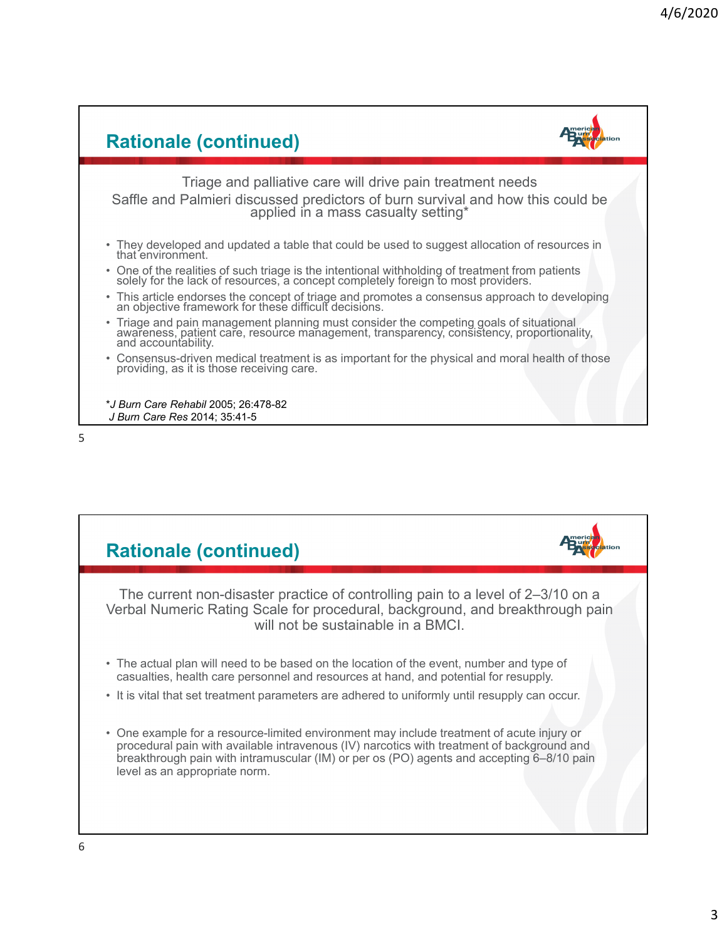

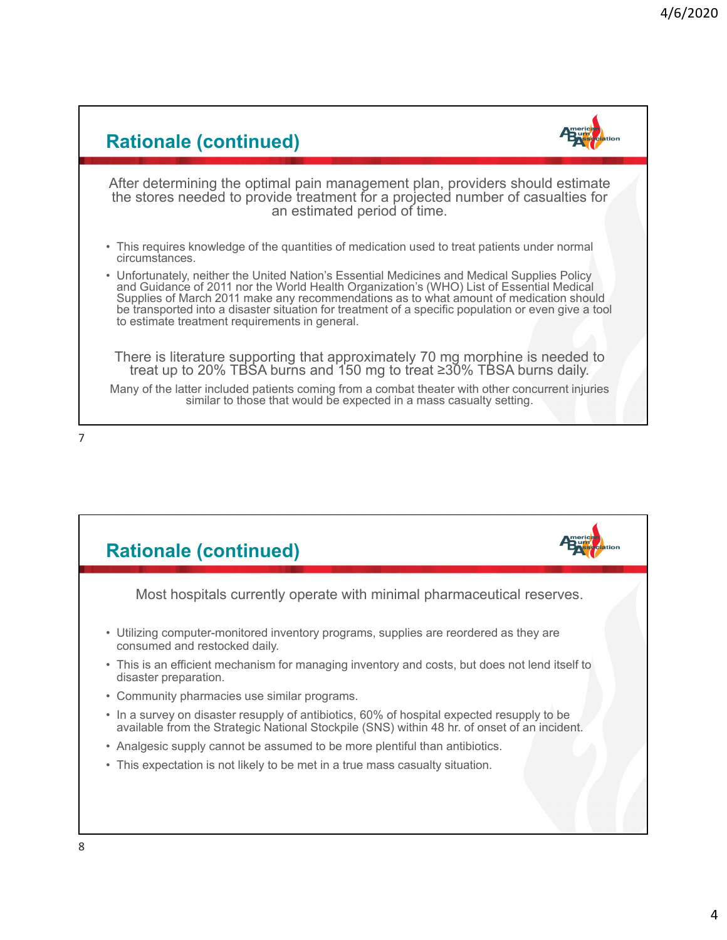

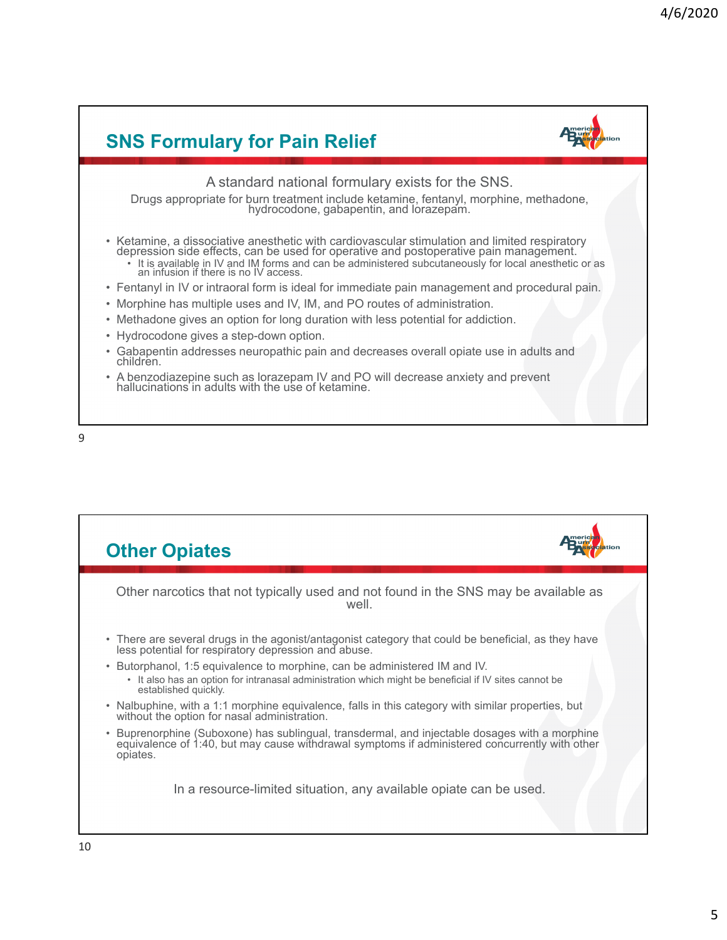

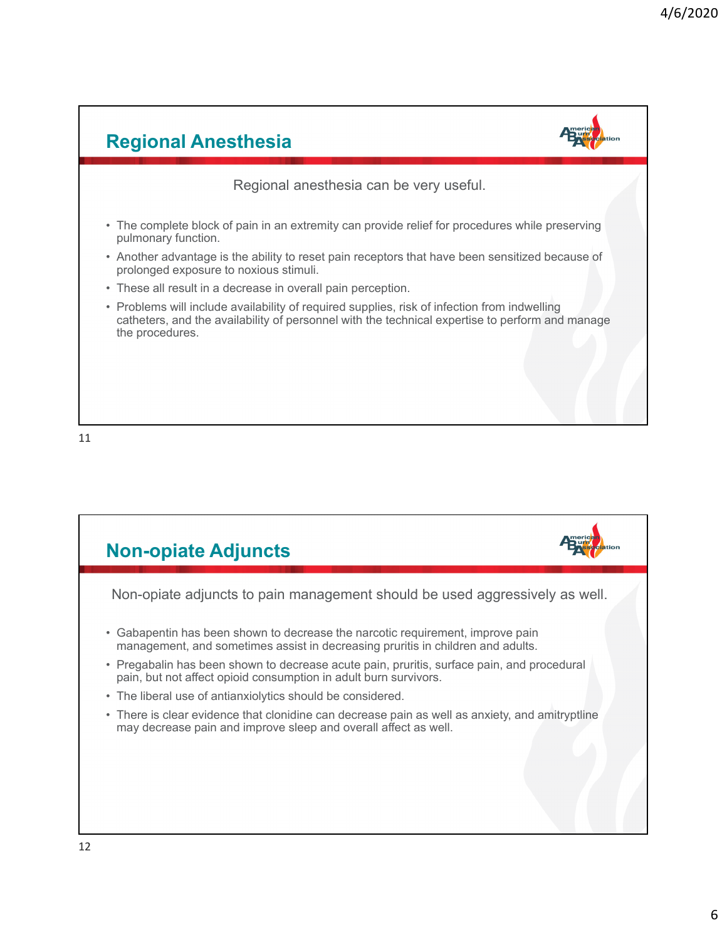

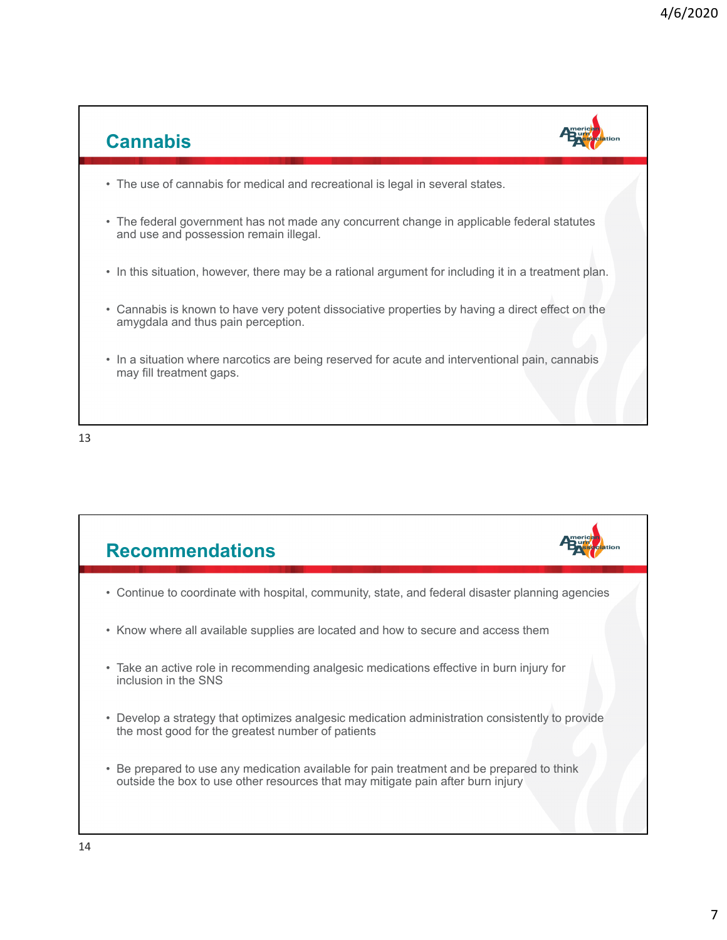

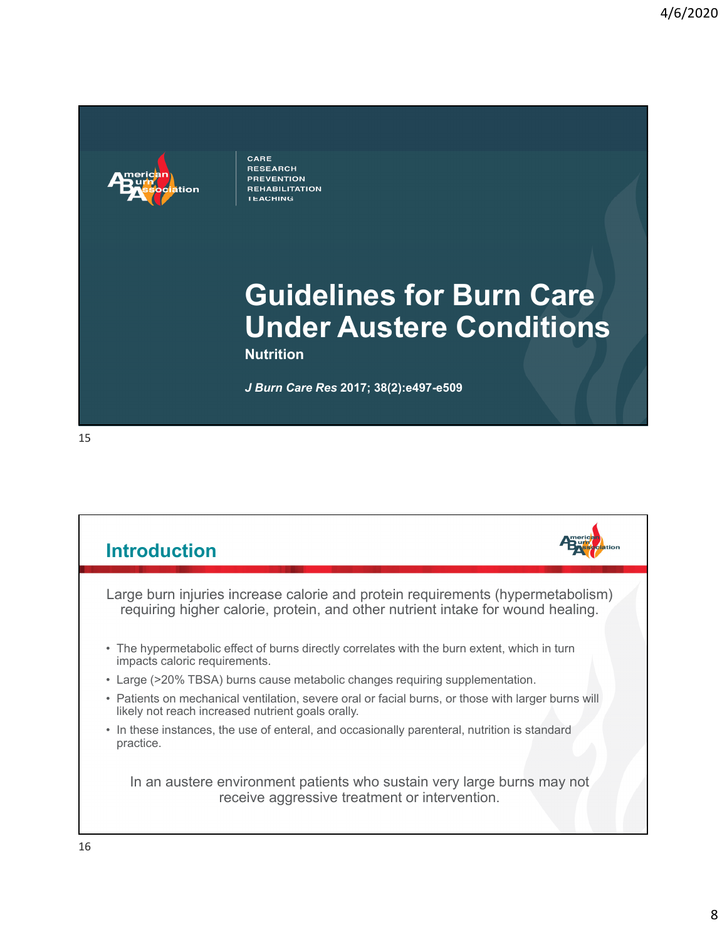

CARE **RESEARCH PREVENTION REHABILITATION TEACHING** 

# **Guidelines for Burn Care Under Austere Conditions**

**Nutrition**

*J Burn Care Res* **2017; 38(2):e497-e509**

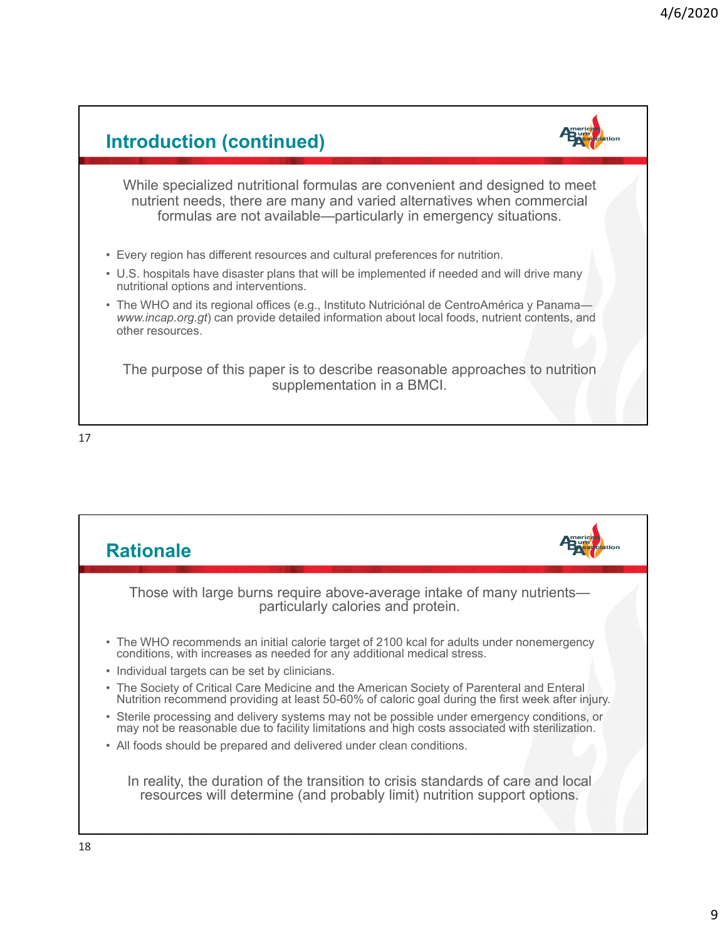

17

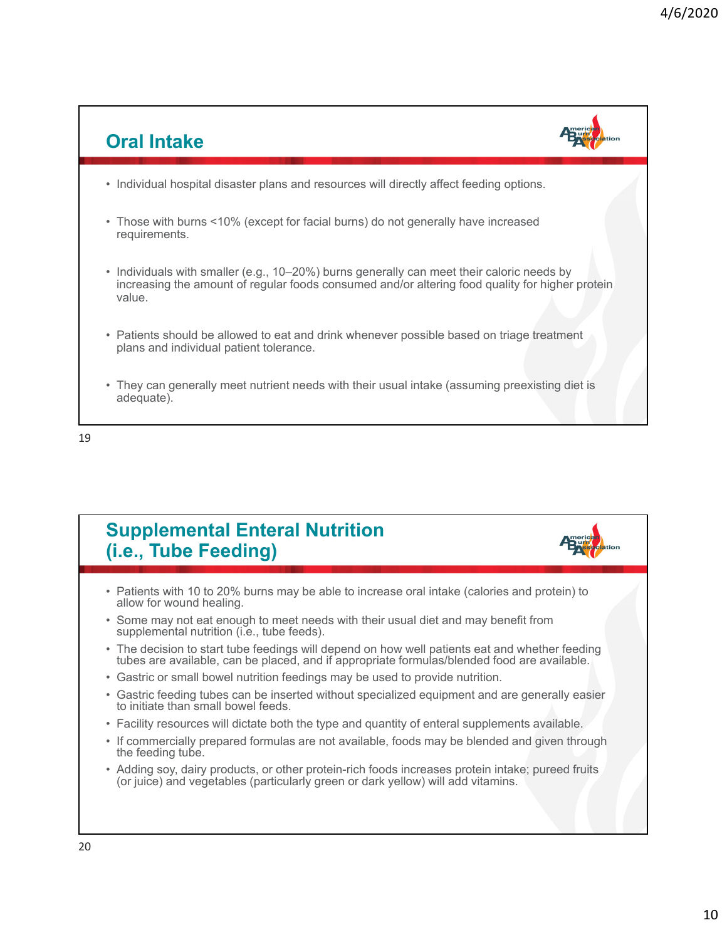

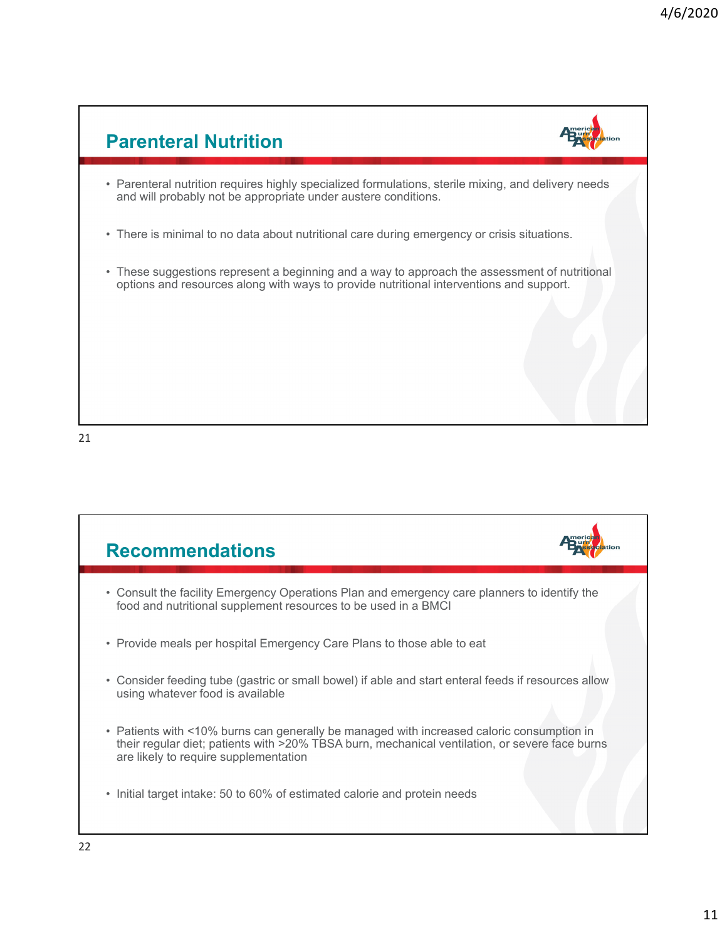

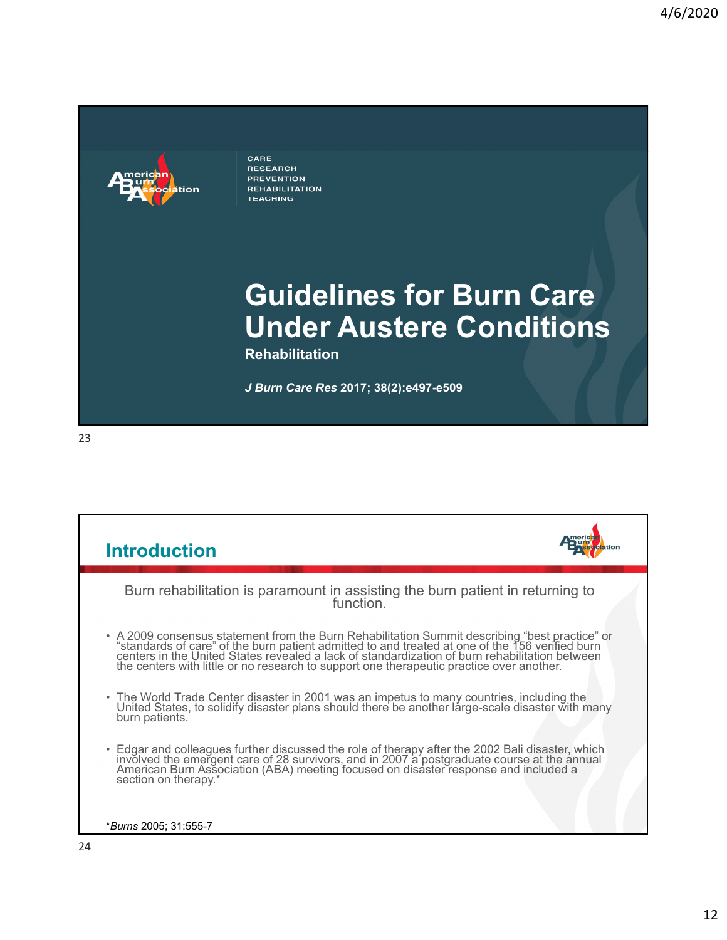

CARE **RESEARCH PREVENTION REHABILITATION TEACHING** 

## **Guidelines for Burn Care Under Austere Conditions**

**Rehabilitation**

*J Burn Care Res* **2017; 38(2):e497-e509**

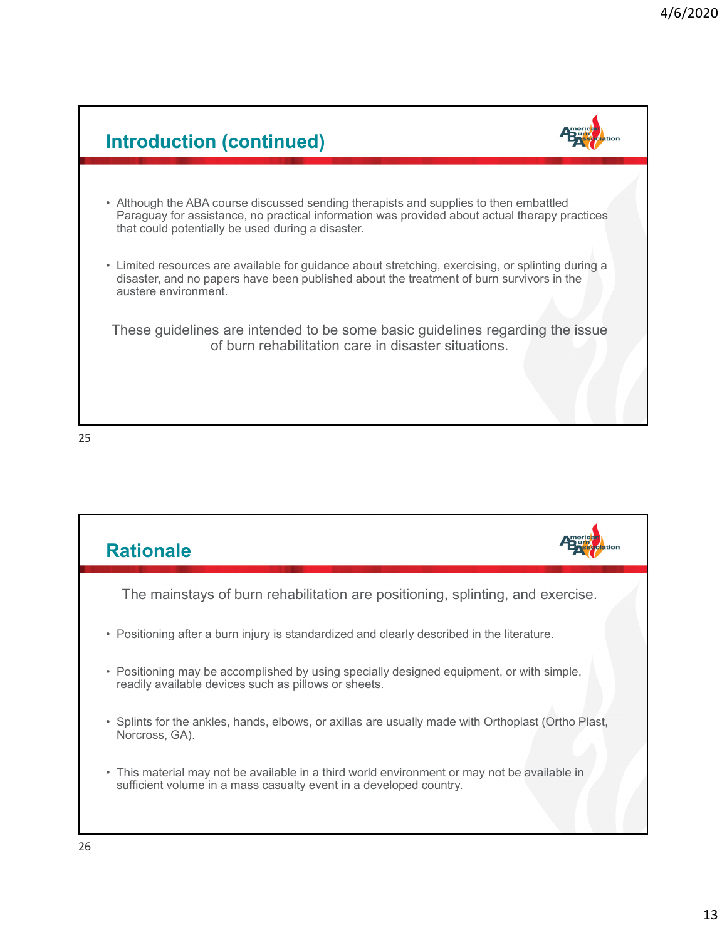

25

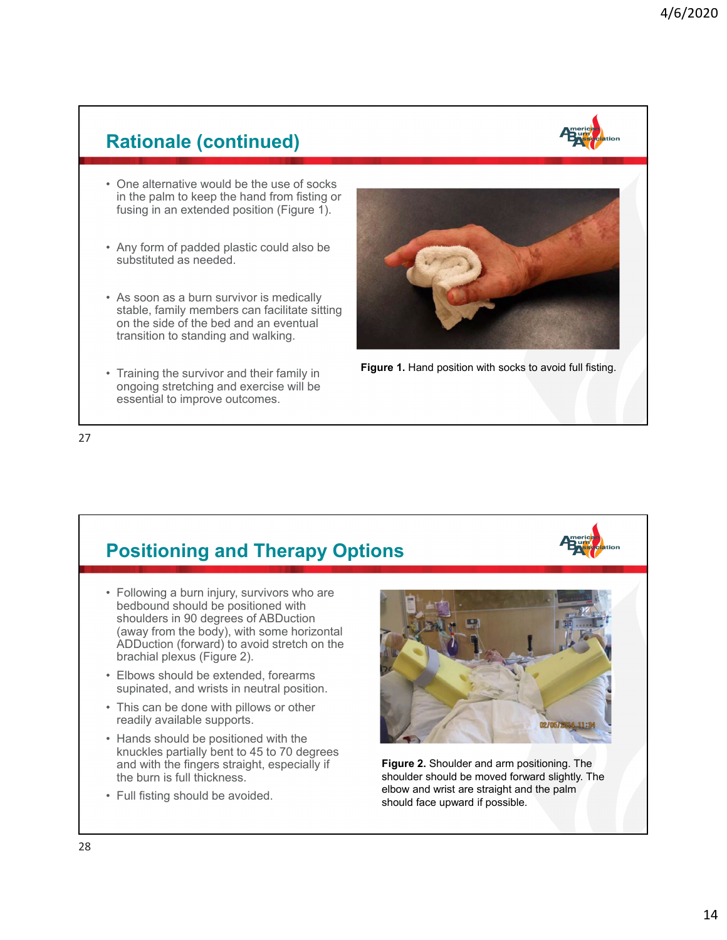### **Rationale (continued)**



- One alternative would be the use of socks in the palm to keep the hand from fisting or fusing in an extended position (Figure 1).
- Any form of padded plastic could also be substituted as needed.
- As soon as a burn survivor is medically stable, family members can facilitate sitting on the side of the bed and an eventual transition to standing and walking.
- Training the survivor and their family in ongoing stretching and exercise will be essential to improve outcomes.





#### 27

### **Positioning and Therapy Options**

- Following a burn injury, survivors who are bedbound should be positioned with shoulders in 90 degrees of ABDuction (away from the body), with some horizontal ADDuction (forward) to avoid stretch on the brachial plexus (Figure 2).
- Elbows should be extended, forearms supinated, and wrists in neutral position.
- This can be done with pillows or other readily available supports.
- Hands should be positioned with the knuckles partially bent to 45 to 70 degrees and with the fingers straight, especially if the burn is full thickness.
- Full fisting should be avoided.



**Figure 2.** Shoulder and arm positioning. The shoulder should be moved forward slightly. The elbow and wrist are straight and the palm should face upward if possible.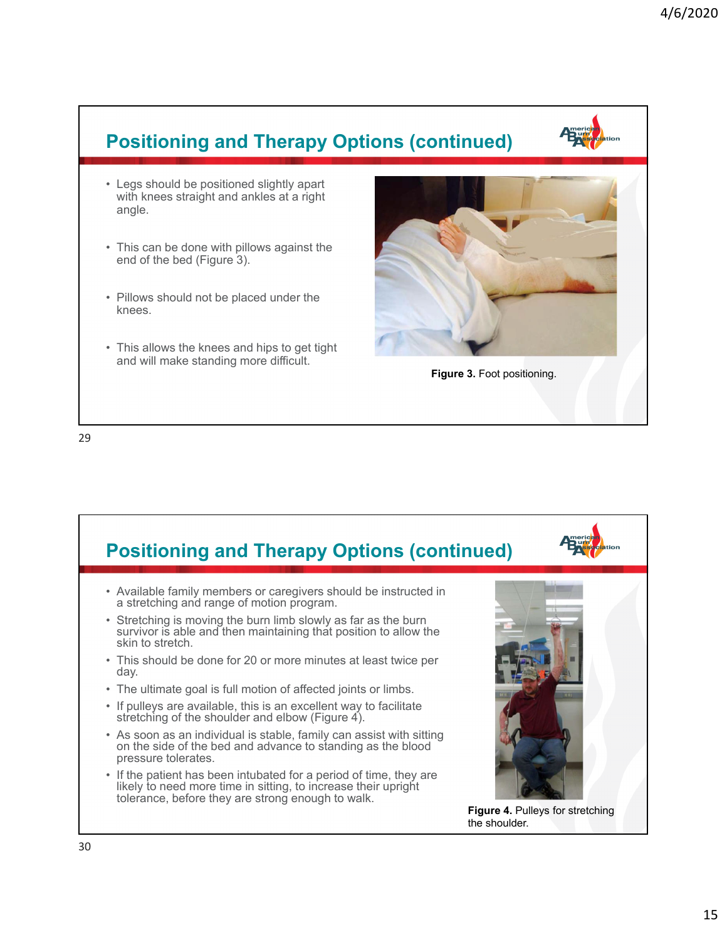## **Positioning and Therapy Options (continued)**

- Legs should be positioned slightly apart with knees straight and ankles at a right angle.
- This can be done with pillows against the end of the bed (Figure 3).
- Pillows should not be placed under the knees.
- This allows the knees and hips to get tight and will make standing more difficult.





29

#### **Positioning and Therapy Options (continued)** • Available family members or caregivers should be instructed in a stretching and range of motion program. • Stretching is moving the burn limb slowly as far as the burn survivor is able and then maintaining that position to allow the skin to stretch. • This should be done for 20 or more minutes at least twice per day. • The ultimate goal is full motion of affected joints or limbs. • If pulleys are available, this is an excellent way to facilitate stretching of the shoulder and elbow (Figure 4). • As soon as an individual is stable, family can assist with sitting on the side of the bed and advance to standing as the blood pressure tolerates. • If the patient has been intubated for a period of time, they are likely to need more time in sitting, to increase their upright tolerance, before they are strong enough to walk. **Figure 4.** Pulleys for stretching the shoulder.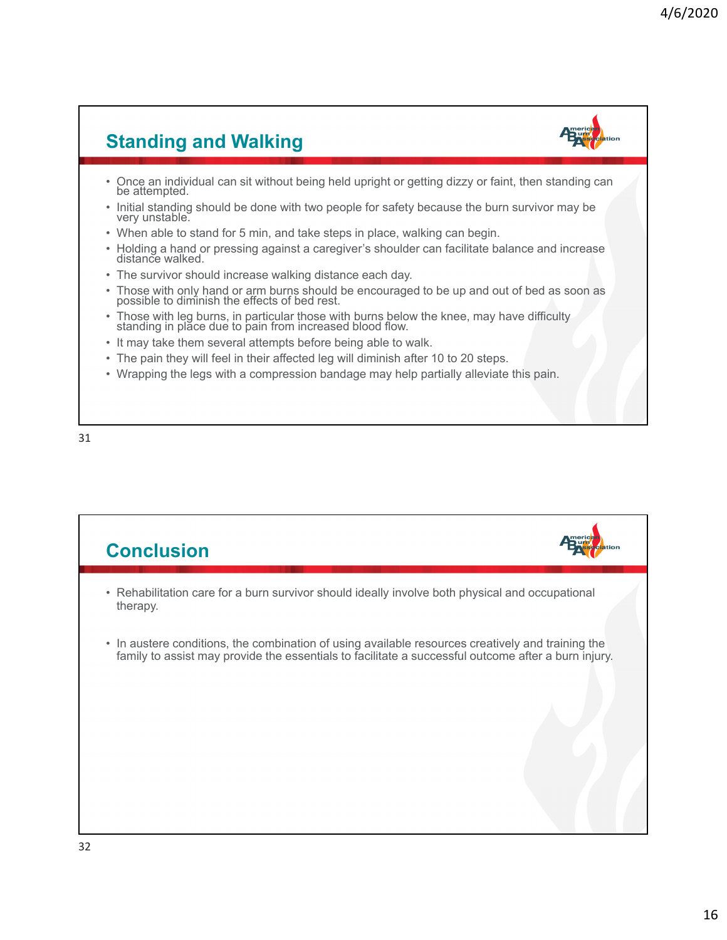## **Standing and Walking**

- Once an individual can sit without being held upright or getting dizzy or faint, then standing can be attempted.
- Initial standing should be done with two people for safety because the burn survivor may be very unstable.
- When able to stand for 5 min, and take steps in place, walking can begin.
- Holding a hand or pressing against a caregiver's shoulder can facilitate balance and increase distance walked.
- The survivor should increase walking distance each day.
- Those with only hand or arm burns should be encouraged to be up and out of bed as soon as possible to diminish the effects of bed rest.
- Those with leg burns, in particular those with burns below the knee, may have difficulty standing in place due to pain from increased blood flow.
- It may take them several attempts before being able to walk.
- The pain they will feel in their affected leg will diminish after 10 to 20 steps.
- Wrapping the legs with a compression bandage may help partially alleviate this pain.

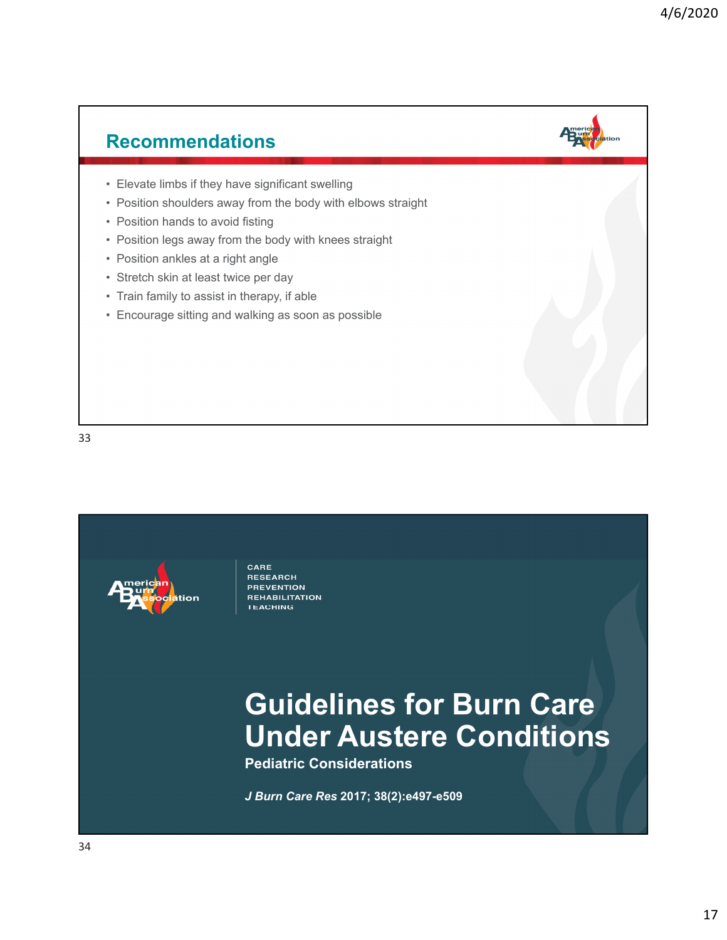# **Recommendations** • Elevate limbs if they have significant swelling • Position shoulders away from the body with elbows straight • Position hands to avoid fisting • Position legs away from the body with knees straight • Position ankles at a right angle • Stretch skin at least twice per day • Train family to assist in therapy, if able • Encourage sitting and walking as soon as possible

33



CARE **RESEARCH PREVENTION** REHABILITATION **TEACHING** 

## **Guidelines for Burn Care Under Austere Conditions**

**Pediatric Considerations**

*J Burn Care Res* **2017; 38(2):e497-e509**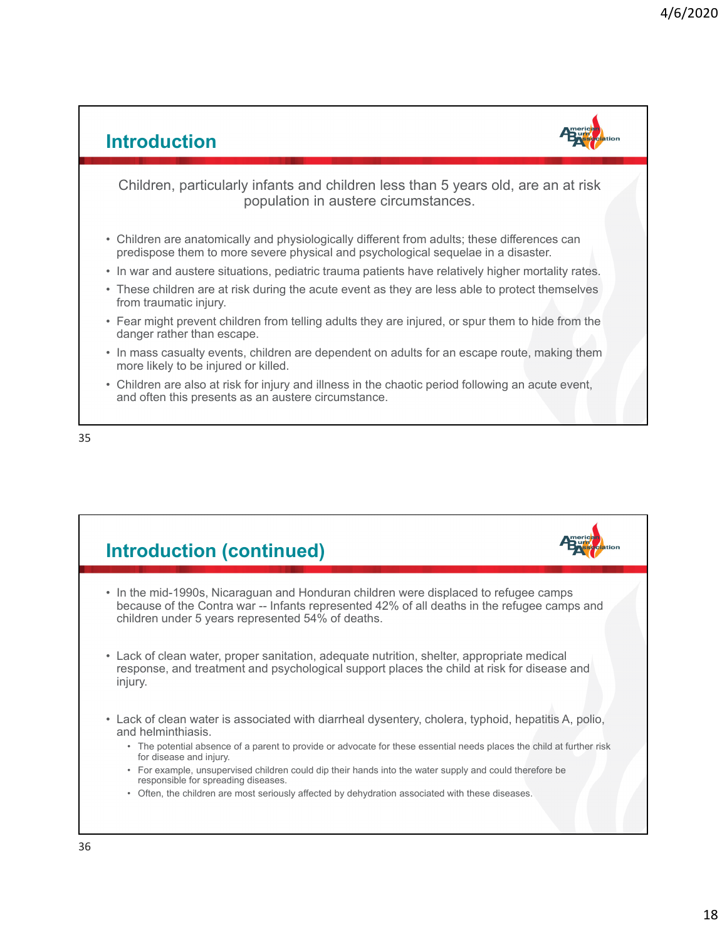#### **Introduction** Children, particularly infants and children less than 5 years old, are an at risk population in austere circumstances. • Children are anatomically and physiologically different from adults; these differences can predispose them to more severe physical and psychological sequelae in a disaster. • In war and austere situations, pediatric trauma patients have relatively higher mortality rates. • These children are at risk during the acute event as they are less able to protect themselves from traumatic injury. • Fear might prevent children from telling adults they are injured, or spur them to hide from the danger rather than escape. • In mass casualty events, children are dependent on adults for an escape route, making them more likely to be injured or killed. • Children are also at risk for injury and illness in the chaotic period following an acute event, and often this presents as an austere circumstance.



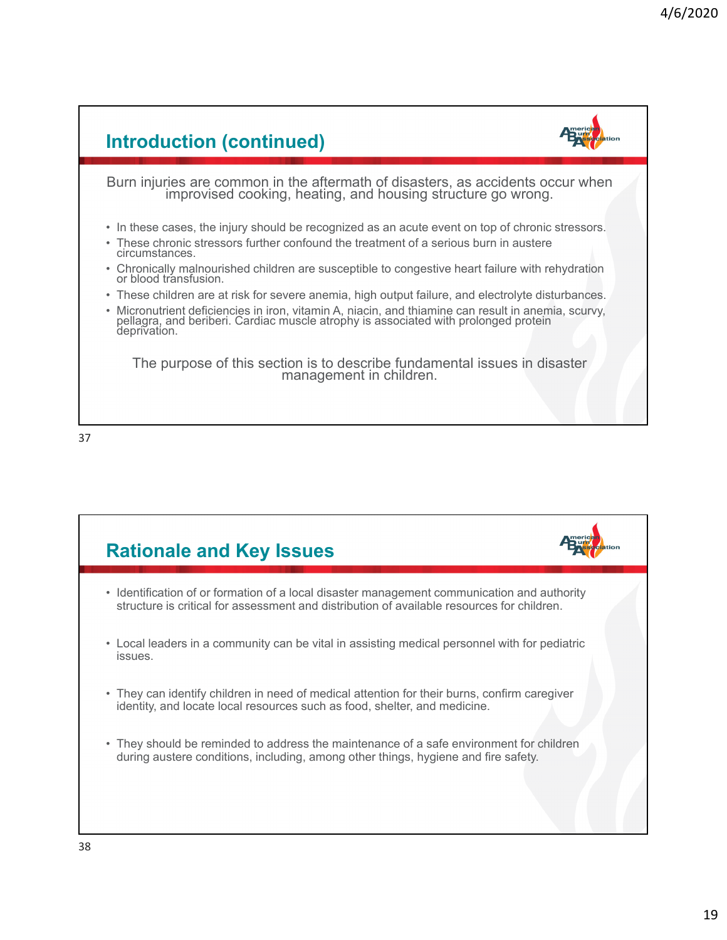



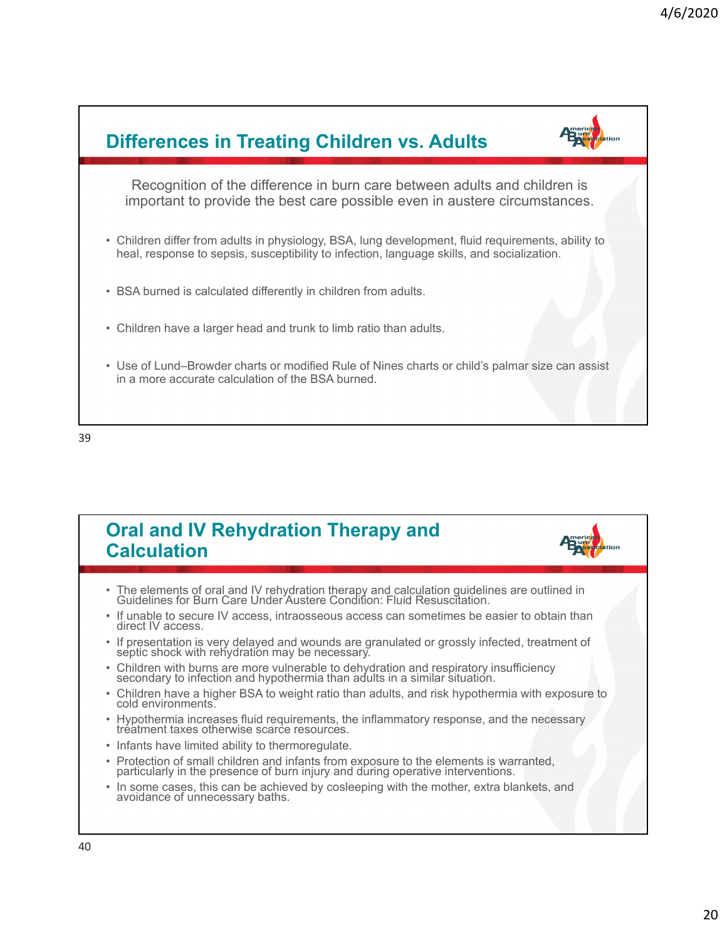



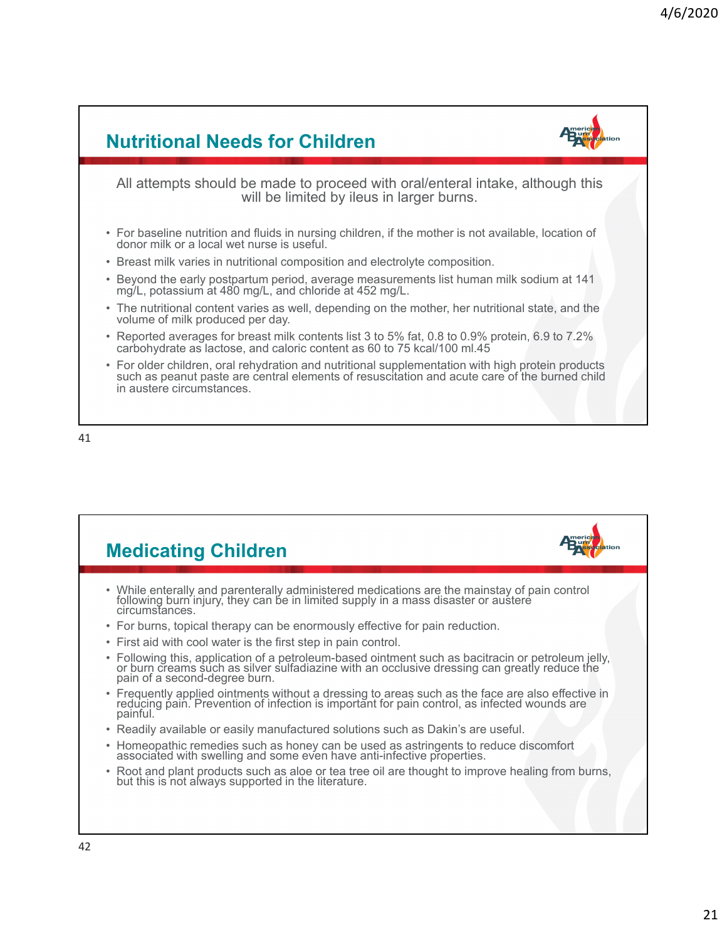#### **Nutritional Needs for Children** All attempts should be made to proceed with oral/enteral intake, although this will be limited by ileus in larger burns. • For baseline nutrition and fluids in nursing children, if the mother is not available, location of donor milk or a local wet nurse is useful. • Breast milk varies in nutritional composition and electrolyte composition. • Beyond the early postpartum period, average measurements list human milk sodium at 141 mg/L, potassium at 480 mg/L, and chloride at 452 mg/L. • The nutritional content varies as well, depending on the mother, her nutritional state, and the volume of milk produced per day. • Reported averages for breast milk contents list 3 to 5% fat, 0.8 to 0.9% protein, 6.9 to 7.2% carbohydrate as lactose, and caloric content as 60 to 75 kcal/100 ml.45 • For older children, oral rehydration and nutritional supplementation with high protein products such as peanut paste are central elements of resuscitation and acute care of the burned child in austere circumstances.

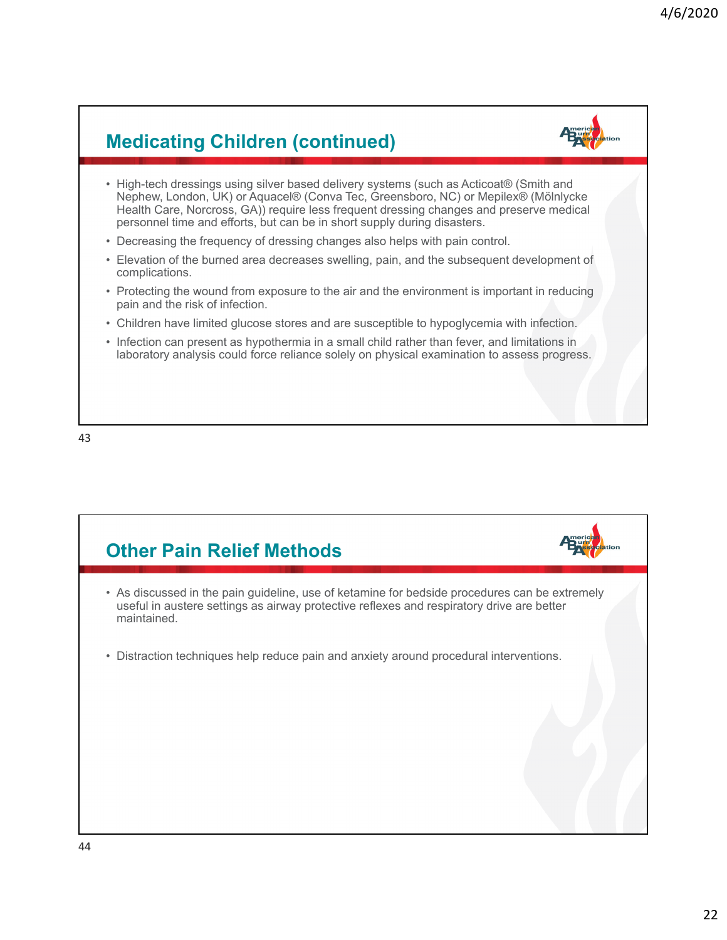### **Medicating Children (continued)**

- High-tech dressings using silver based delivery systems (such as Acticoat® (Smith and Nephew, London, UK) or Aquacel® (Conva Tec, Greensboro, NC) or Mepilex® (Mölnlycke Health Care, Norcross, GA)) require less frequent dressing changes and preserve medical personnel time and efforts, but can be in short supply during disasters.
- Decreasing the frequency of dressing changes also helps with pain control.
- Elevation of the burned area decreases swelling, pain, and the subsequent development of complications.
- Protecting the wound from exposure to the air and the environment is important in reducing pain and the risk of infection.
- Children have limited glucose stores and are susceptible to hypoglycemia with infection.
- Infection can present as hypothermia in a small child rather than fever, and limitations in laboratory analysis could force reliance solely on physical examination to assess progress.

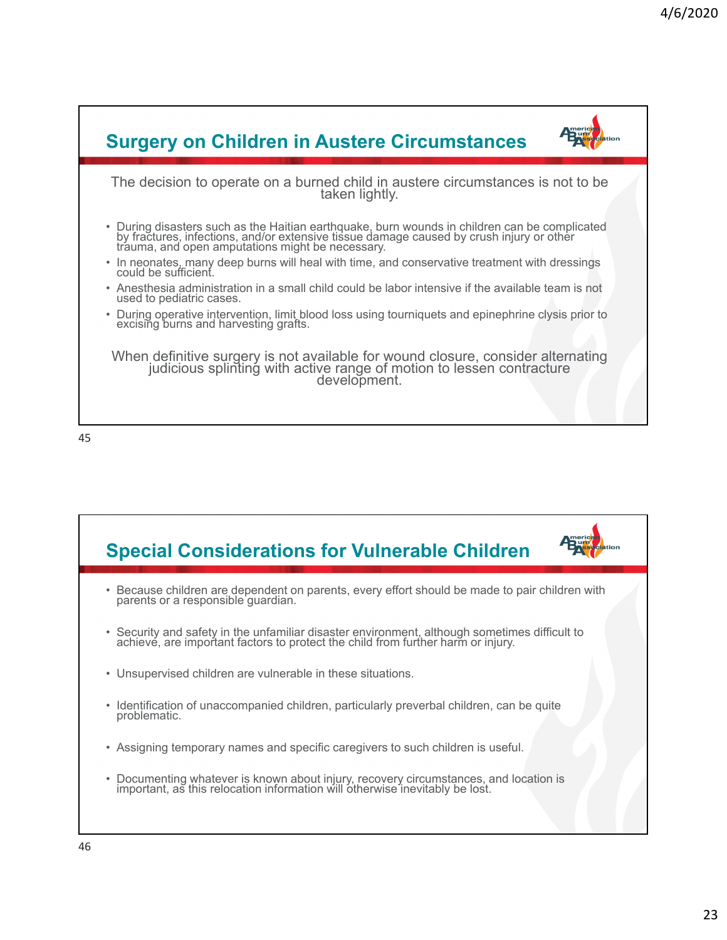



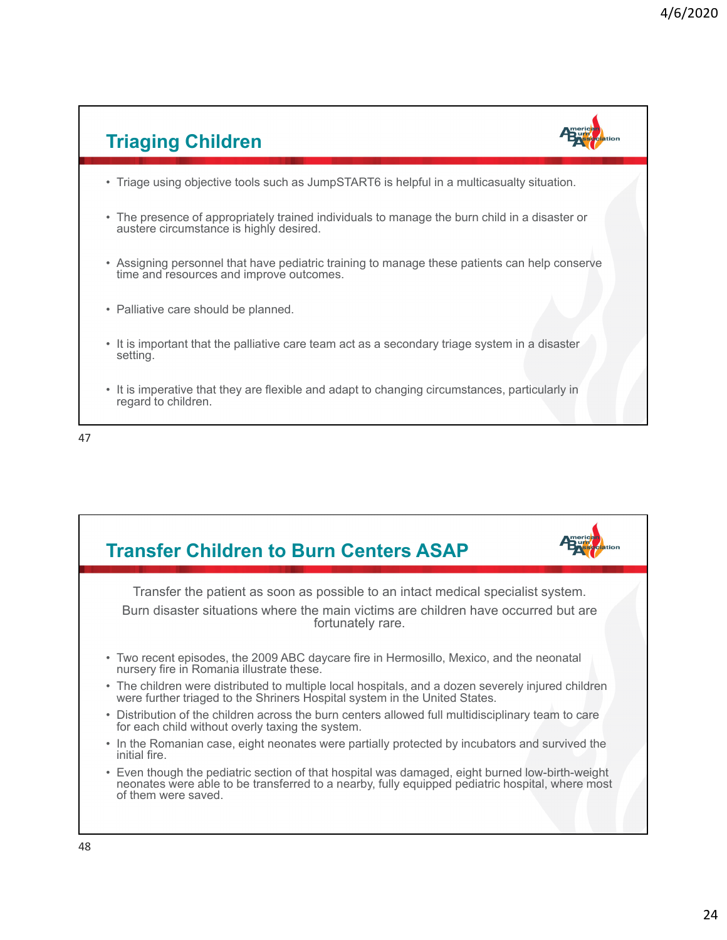

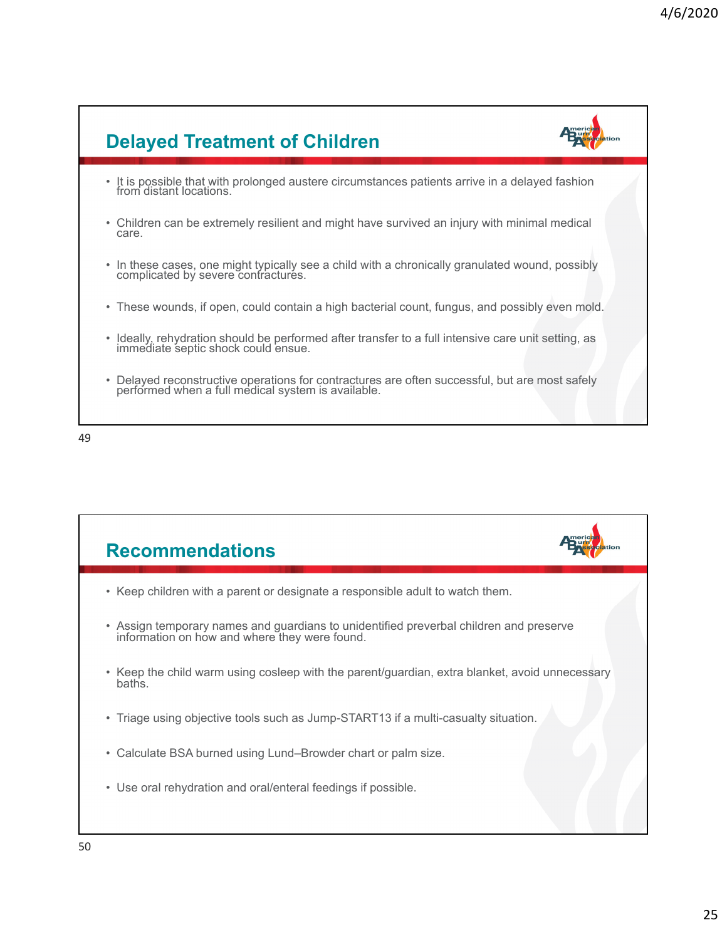



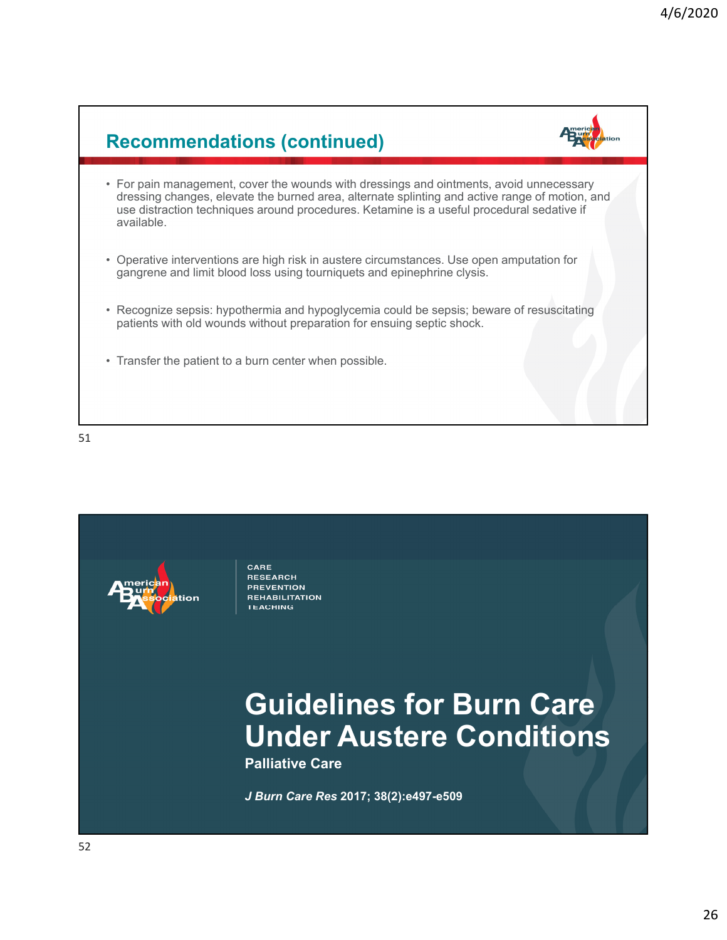## **Recommendations (continued)**

- 
- For pain management, cover the wounds with dressings and ointments, avoid unnecessary dressing changes, elevate the burned area, alternate splinting and active range of motion, and use distraction techniques around procedures. Ketamine is a useful procedural sedative if available.
- Operative interventions are high risk in austere circumstances. Use open amputation for gangrene and limit blood loss using tourniquets and epinephrine clysis.
- Recognize sepsis: hypothermia and hypoglycemia could be sepsis; beware of resuscitating patients with old wounds without preparation for ensuing septic shock.
- Transfer the patient to a burn center when possible.

51



CARE **RESEARCH PREVENTION REHABILITATION TEACHING** 

## **Guidelines for Burn Care Under Austere Conditions**

**Palliative Care**

*J Burn Care Res* **2017; 38(2):e497-e509**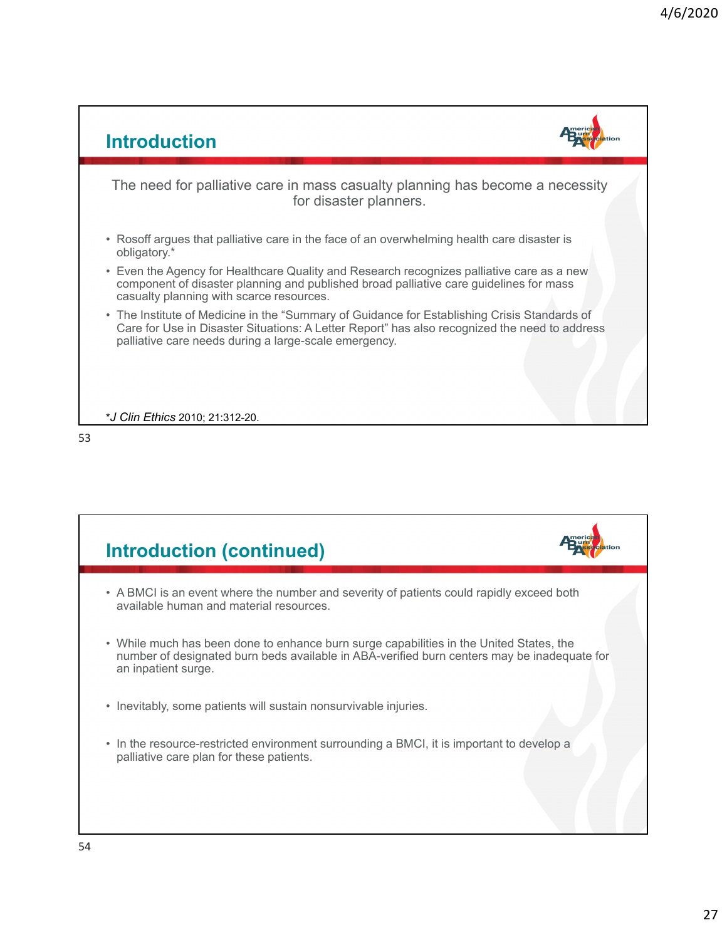

| <b>Introduction (continued)</b>                                                                                                                                                                               |  |
|---------------------------------------------------------------------------------------------------------------------------------------------------------------------------------------------------------------|--|
| • A BMCI is an event where the number and severity of patients could rapidly exceed both<br>available human and material resources.                                                                           |  |
| • While much has been done to enhance burn surge capabilities in the United States, the<br>number of designated burn beds available in ABA-verified burn centers may be inadequate for<br>an inpatient surge. |  |
| • Inevitably, some patients will sustain nonsurvivable injuries.                                                                                                                                              |  |
| • In the resource-restricted environment surrounding a BMCI, it is important to develop a<br>palliative care plan for these patients.                                                                         |  |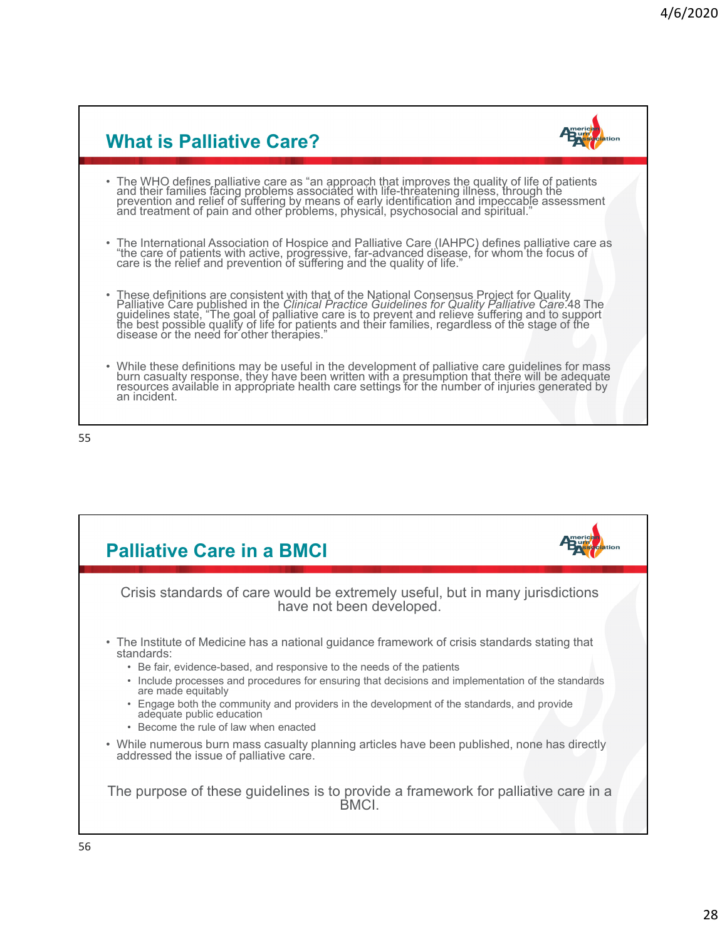| <b>What is Palliative Care?</b>                                                                                                                                                                                                                                                                                       |  |
|-----------------------------------------------------------------------------------------------------------------------------------------------------------------------------------------------------------------------------------------------------------------------------------------------------------------------|--|
| • The WHO defines palliative care as "an approach that improves the quality of life of patients and their families facing problems associated with life-threatening illness, through the prevention and relief of suffering by                                                                                        |  |
| • The International Association of Hospice and Palliative Care (IAHPC) defines palliative care as "the care of patients with active, progressive, far-advanced disease, for whom the focus of care is the relief and preventio                                                                                        |  |
| • These definitions are consistent with that of the National Consensus Project for Quality<br>Palliative Care published in the <i>Clinical Practice Guidelines for Quality Palliative Care.</i> 48 The<br>guidelines state, "The goal of p<br>disease or the need for other therapies."                               |  |
| • While these definitions may be useful in the development of palliative care guidelines for mass<br>burn casualty response, they have been written with a presumption that there will be adequate<br>resources available in appropriate health care settings for the number of injuries generated by<br>an incident. |  |

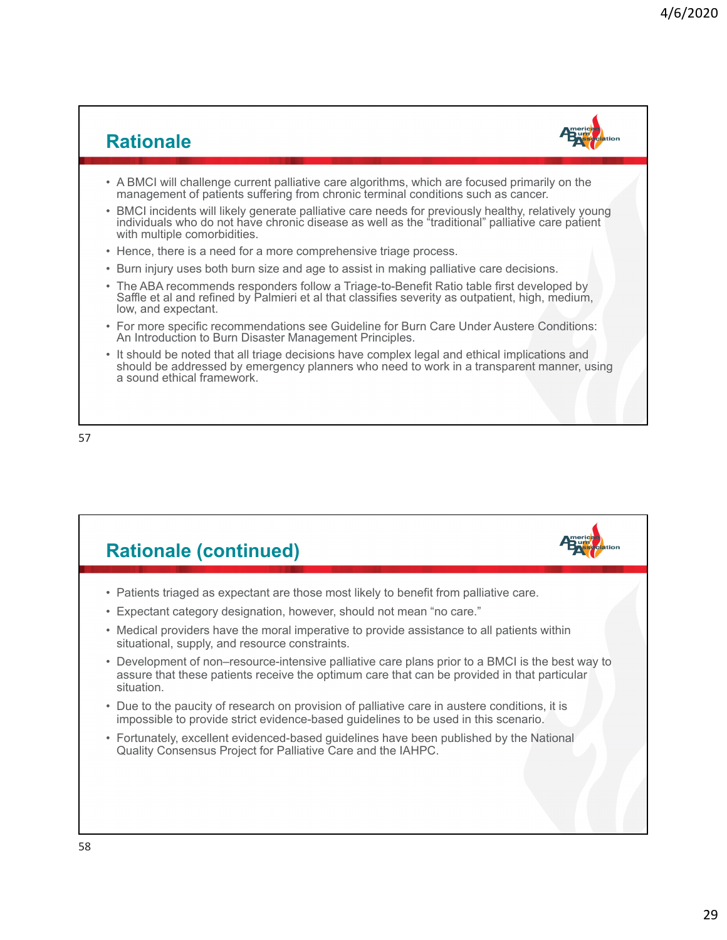#### **Rationale**



- A BMCI will challenge current palliative care algorithms, which are focused primarily on the management of patients suffering from chronic terminal conditions such as cancer.
- BMCI incidents will likely generate palliative care needs for previously healthy, relatively young individuals who do not have chronic disease as well as the "traditional" palliative care patient with multiple comorbidities.
- Hence, there is a need for a more comprehensive triage process.
- Burn injury uses both burn size and age to assist in making palliative care decisions.
- The ABA recommends responders follow a Triage-to-Benefit Ratio table first developed by Saffle et al and refined by Palmieri et al that classifies severity as outpatient, high, medium, low, and expectant.
- For more specific recommendations see Guideline for Burn Care Under Austere Conditions: An Introduction to Burn Disaster Management Principles.
- It should be noted that all triage decisions have complex legal and ethical implications and should be addressed by emergency planners who need to work in a transparent manner, using a sound ethical framework.

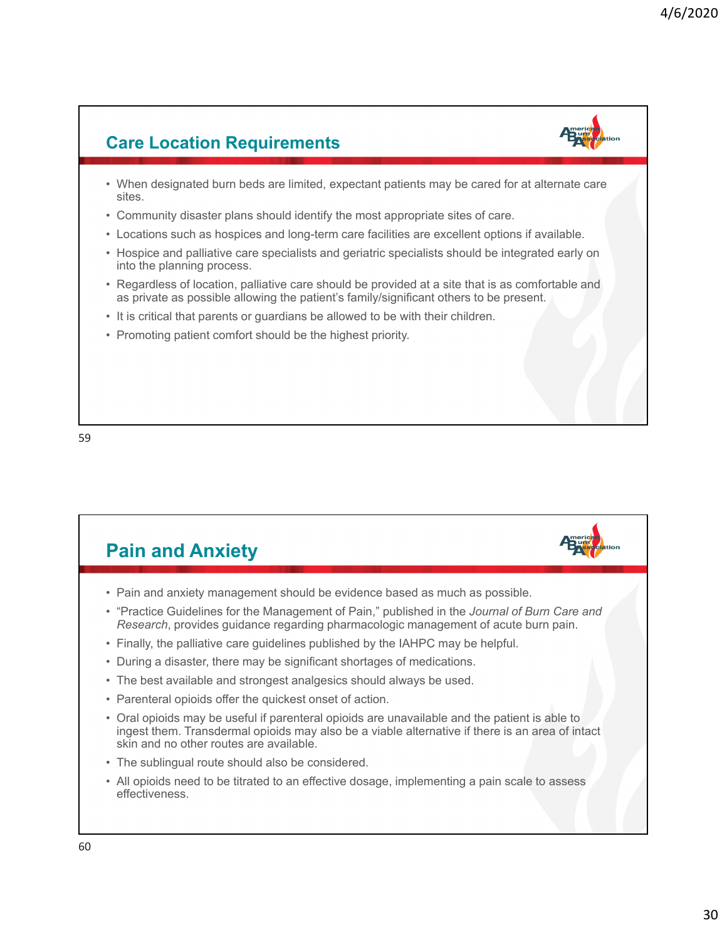### **Care Location Requirements**

- When designated burn beds are limited, expectant patients may be cared for at alternate care sites.
- Community disaster plans should identify the most appropriate sites of care.
- Locations such as hospices and long-term care facilities are excellent options if available.
- Hospice and palliative care specialists and geriatric specialists should be integrated early on into the planning process.
- Regardless of location, palliative care should be provided at a site that is as comfortable and as private as possible allowing the patient's family/significant others to be present.
- It is critical that parents or guardians be allowed to be with their children.
- Promoting patient comfort should be the highest priority.



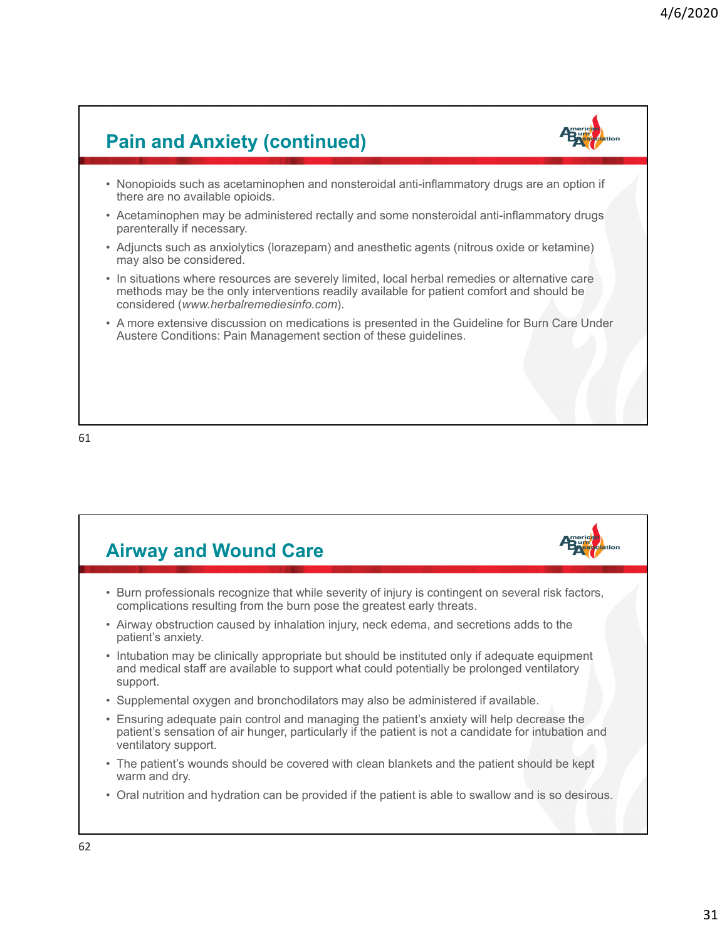### **Pain and Anxiety (continued)** • Nonopioids such as acetaminophen and nonsteroidal anti-inflammatory drugs are an option if there are no available opioids. • Acetaminophen may be administered rectally and some nonsteroidal anti-inflammatory drugs parenterally if necessary. • Adjuncts such as anxiolytics (lorazepam) and anesthetic agents (nitrous oxide or ketamine) may also be considered. • In situations where resources are severely limited, local herbal remedies or alternative care methods may be the only interventions readily available for patient comfort and should be considered (*www.herbalremediesinfo.com*). • A more extensive discussion on medications is presented in the Guideline for Burn Care Under Austere Conditions: Pain Management section of these guidelines.